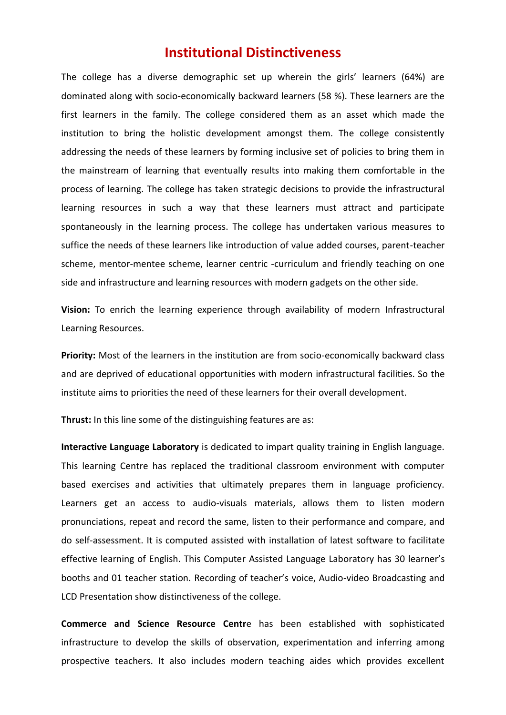## **Institutional Distinctiveness**

The college has a diverse demographic set up wherein the girls' learners (64%) are dominated along with socio-economically backward learners (58 %). These learners are the first learners in the family. The college considered them as an asset which made the institution to bring the holistic development amongst them. The college consistently addressing the needs of these learners by forming inclusive set of policies to bring them in the mainstream of learning that eventually results into making them comfortable in the process of learning. The college has taken strategic decisions to provide the infrastructural learning resources in such a way that these learners must attract and participate spontaneously in the learning process. The college has undertaken various measures to suffice the needs of these learners like introduction of value added courses, parent-teacher scheme, mentor-mentee scheme, learner centric -curriculum and friendly teaching on one side and infrastructure and learning resources with modern gadgets on the other side.

**Vision:** To enrich the learning experience through availability of modern Infrastructural Learning Resources.

**Priority:** Most of the learners in the institution are from socio-economically backward class and are deprived of educational opportunities with modern infrastructural facilities. So the institute aims to priorities the need of these learners for their overall development.

**Thrust:** In this line some of the distinguishing features are as:

**Interactive Language Laboratory** is dedicated to impart quality training in English language. This learning Centre has replaced the traditional classroom environment with computer based exercises and activities that ultimately prepares them in language proficiency. Learners get an access to audio-visuals materials, allows them to listen modern pronunciations, repeat and record the same, listen to their performance and compare, and do self-assessment. It is computed assisted with installation of latest software to facilitate effective learning of English. This Computer Assisted Language Laboratory has 30 learner's booths and 01 teacher station. Recording of teacher's voice, Audio-video Broadcasting and LCD Presentation show distinctiveness of the college.

**Commerce and Science Resource Centr**e has been established with sophisticated infrastructure to develop the skills of observation, experimentation and inferring among prospective teachers. It also includes modern teaching aides which provides excellent